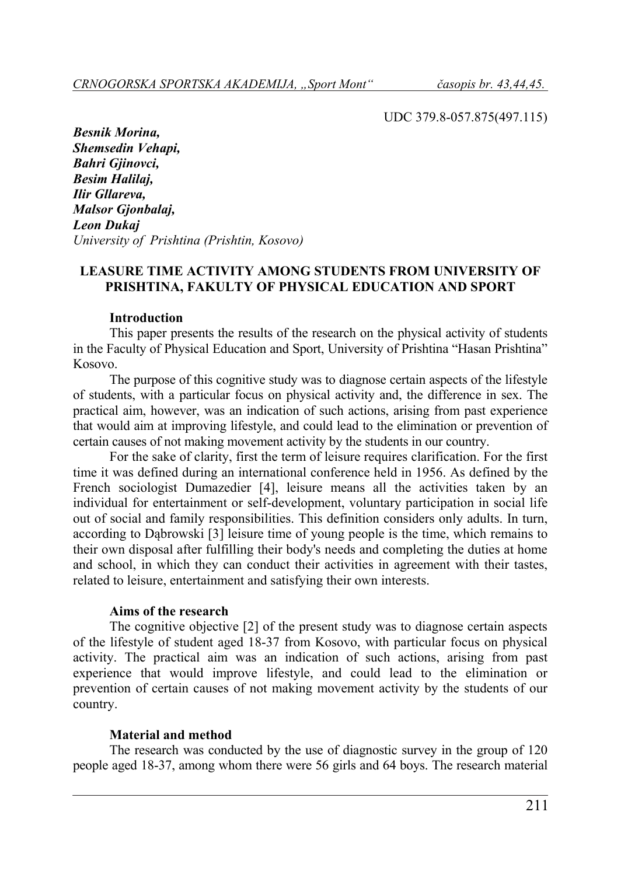UDC 379.8-057.875(497.115)

*Besnik Morina, Shemsedin Vehapi, Bahri Gjinovci, Besim Halilaj, Ilir Gllareva, Malsor Gjonbalaj, Leon Dukaj University of Prishtina (Prishtin, Kosovo)* 

### **LEASURE TIME ACTIVITY AMONG STUDENTS FROM UNIVERSITY OF PRISHTINA, FAKULTY OF PHYSICAL EDUCATION AND SPORT**

### **Introduction**

This paper presents the results of the research on the physical activity of students in the Faculty of Physical Education and Sport, University of Prishtina "Hasan Prishtina" Kosovo.

The purpose of this cognitive study was to diagnose certain aspects of the lifestyle of students, with a particular focus on physical activity and, the difference in sex. The practical aim, however, was an indication of such actions, arising from past experience that would aim at improving lifestyle, and could lead to the elimination or prevention of certain causes of not making movement activity by the students in our country.

For the sake of clarity, first the term of leisure requires clarification. For the first time it was defined during an international conference held in 1956. As defined by the French sociologist Dumazedier [4], leisure means all the activities taken by an individual for entertainment or self-development, voluntary participation in social life out of social and family responsibilities. This definition considers only adults. In turn, according to Dąbrowski [3] leisure time of young people is the time, which remains to their own disposal after fulfilling their body's needs and completing the duties at home and school, in which they can conduct their activities in agreement with their tastes, related to leisure, entertainment and satisfying their own interests.

### **Aims of the research**

The cognitive objective [2] of the present study was to diagnose certain aspects of the lifestyle of student aged 18-37 from Kosovo, with particular focus on physical activity. The practical aim was an indication of such actions, arising from past experience that would improve lifestyle, and could lead to the elimination or prevention of certain causes of not making movement activity by the students of our country.

### **Material and method**

The research was conducted by the use of diagnostic survey in the group of 120 people aged 18-37, among whom there were 56 girls and 64 boys. The research material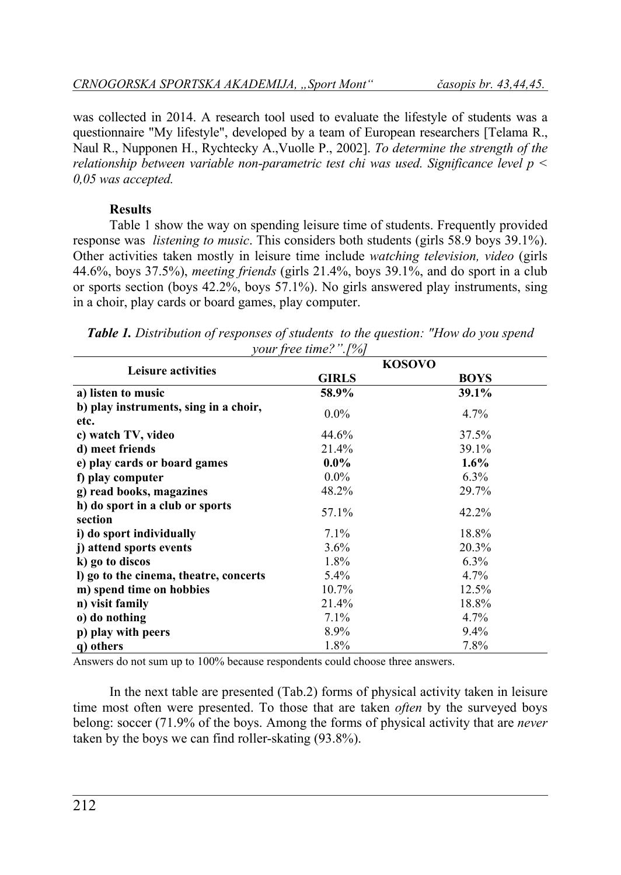was collected in 2014. A research tool used to evaluate the lifestyle of students was a questionnaire "My lifestyle", developed by a team of European researchers [Telama R., Naul R., Nupponen H., Rychtecky A.,Vuolle P., 2002]. *To determine the strength of the relationship between variable non-parametric test chi was used. Significance level p < 0,05 was accepted.* 

# **Results**

Table 1 show the way on spending leisure time of students. Frequently provided response was *listening to music*. This considers both students (girls 58.9 boys 39.1%). Other activities taken mostly in leisure time include *watching television, video* (girls 44.6%, boys 37.5%), *meeting friends* (girls 21.4%, boys 39.1%, and do sport in a club or sports section (boys 42.2%, boys 57.1%). No girls answered play instruments, sing in a choir, play cards or board games, play computer.

|                                               |              | <b>KOSOVO</b> |
|-----------------------------------------------|--------------|---------------|
| <b>Leisure activities</b>                     | <b>GIRLS</b> | <b>BOYS</b>   |
| a) listen to music                            | 58.9%        | 39.1%         |
| b) play instruments, sing in a choir,<br>etc. | $0.0\%$      | 4.7%          |
| c) watch TV, video                            | 44.6%        | 37.5%         |
| d) meet friends                               | 21.4%        | 39.1%         |
| e) play cards or board games                  | $0.0\%$      | $1.6\%$       |
| f) play computer                              | $0.0\%$      | $6.3\%$       |
| g) read books, magazines                      | 48.2%        | 29.7%         |
| h) do sport in a club or sports               | 57.1%        | 42.2%         |
| section                                       |              |               |
| i) do sport individually                      | 7.1%         | 18.8%         |
| j) attend sports events                       | $3.6\%$      | 20.3%         |
| k) go to discos                               | 1.8%         | $6.3\%$       |
| I) go to the cinema, theatre, concerts        | 5.4%         | $4.7\%$       |
| m) spend time on hobbies                      | 10.7%        | 12.5%         |
| n) visit family                               | 21.4%        | 18.8%         |
| o) do nothing                                 | 7.1%         | $4.7\%$       |
| p) play with peers                            | 8.9%         | $9.4\%$       |
| q) others                                     | 1.8%         | 7.8%          |

*Table 1. Distribution of responses of students to the question: "How do you spend your free time?".[%]* 

Answers do not sum up to 100% because respondents could choose three answers.

In the next table are presented (Tab.2) forms of physical activity taken in leisure time most often were presented. To those that are taken *often* by the surveyed boys belong: soccer (71.9% of the boys. Among the forms of physical activity that are *never*  taken by the boys we can find roller-skating (93.8%).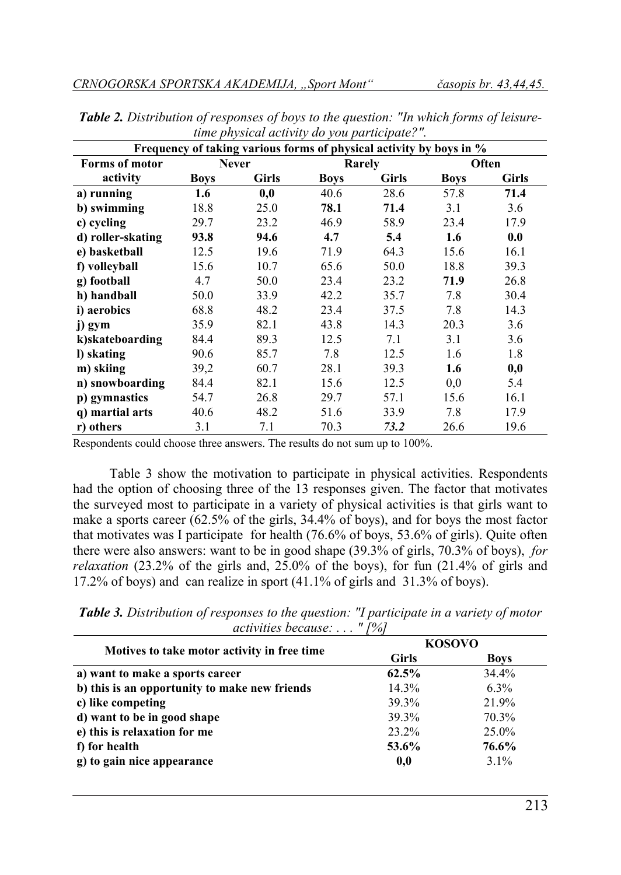| Frequency of taking various forms of physical activity by boys in % |             |              |             |        |             |       |
|---------------------------------------------------------------------|-------------|--------------|-------------|--------|-------------|-------|
| <b>Forms of motor</b>                                               |             | <b>Never</b> |             | Rarely |             | Often |
| activity                                                            | <b>Boys</b> | Girls        | <b>Boys</b> | Girls  | <b>Boys</b> | Girls |
| a) running                                                          | 1.6         | 0,0          | 40.6        | 28.6   | 57.8        | 71.4  |
| b) swimming                                                         | 18.8        | 25.0         | 78.1        | 71.4   | 3.1         | 3.6   |
| c) cycling                                                          | 29.7        | 23.2         | 46.9        | 58.9   | 23.4        | 17.9  |
| d) roller-skating                                                   | 93.8        | 94.6         | 4.7         | 5.4    | 1.6         | 0.0   |
| e) basketball                                                       | 12.5        | 19.6         | 71.9        | 64.3   | 15.6        | 16.1  |
| f) volleyball                                                       | 15.6        | 10.7         | 65.6        | 50.0   | 18.8        | 39.3  |
| g) football                                                         | 4.7         | 50.0         | 23.4        | 23.2   | 71.9        | 26.8  |
| h) handball                                                         | 50.0        | 33.9         | 42.2        | 35.7   | 7.8         | 30.4  |
| i) aerobics                                                         | 68.8        | 48.2         | 23.4        | 37.5   | 7.8         | 14.3  |
| j) gym                                                              | 35.9        | 82.1         | 43.8        | 14.3   | 20.3        | 3.6   |
| k)skateboarding                                                     | 84.4        | 89.3         | 12.5        | 7.1    | 3.1         | 3.6   |
| l) skating                                                          | 90.6        | 85.7         | 7.8         | 12.5   | 1.6         | 1.8   |
| m) skiing                                                           | 39,2        | 60.7         | 28.1        | 39.3   | 1.6         | 0,0   |
| n) snowboarding                                                     | 84.4        | 82.1         | 15.6        | 12.5   | 0,0         | 5.4   |
| p) gymnastics                                                       | 54.7        | 26.8         | 29.7        | 57.1   | 15.6        | 16.1  |
| q) martial arts                                                     | 40.6        | 48.2         | 51.6        | 33.9   | 7.8         | 17.9  |
| r) others                                                           | 3.1         | 7.1          | 70.3        | 73.2   | 26.6        | 19.6  |

*Table 2. Distribution of responses of boys to the question: "In which forms of leisuretime physical activity do you participate?".* 

Respondents could choose three answers. The results do not sum up to 100%.

Table 3 show the motivation to participate in physical activities. Respondents had the option of choosing three of the 13 responses given. The factor that motivates the surveyed most to participate in a variety of physical activities is that girls want to make a sports career  $(62.5\% \text{ of the girls}, 34.4\% \text{ of boys})$ , and for boys the most factor that motivates was I participate for health (76.6% of boys, 53.6% of girls). Quite often there were also answers: want to be in good shape (39.3% of girls, 70.3% of boys), *for relaxation* (23.2% of the girls and, 25.0% of the boys), for fun (21.4% of girls and 17.2% of boys) and can realize in sport (41.1% of girls and 31.3% of boys).

*Table 3. Distribution of responses to the question: "I participate in a variety of motor activities because: . . . " [%]* 

|                                               | <b>KOSOVO</b> |             |
|-----------------------------------------------|---------------|-------------|
| Motives to take motor activity in free time   | <b>Girls</b>  | <b>Boys</b> |
| a) want to make a sports career               | 62.5%         | $34.4\%$    |
| b) this is an opportunity to make new friends | 14.3%         | $6.3\%$     |
| c) like competing                             | 39.3%         | 21.9%       |
| d) want to be in good shape                   | 39.3%         | 70.3%       |
| e) this is relaxation for me                  | 23.2%         | 25.0%       |
| f) for health                                 | 53.6%         | 76.6%       |
| g) to gain nice appearance                    | 0,0           | $3.1\%$     |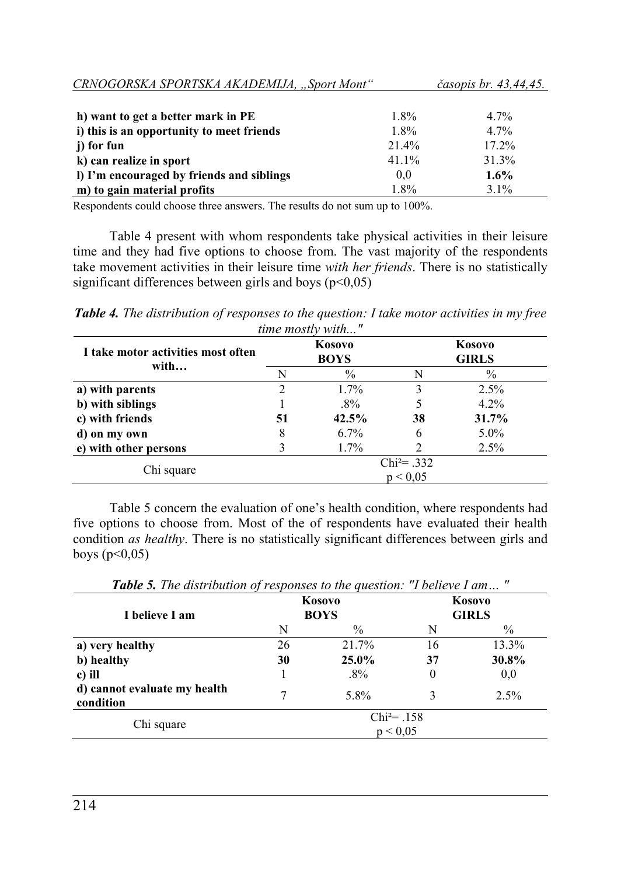| CRNOGORSKA SPORTSKA AKADEMIJA, "Sport Mont" |         | <i>časopis br. 43,44,45.</i> |
|---------------------------------------------|---------|------------------------------|
|                                             |         |                              |
| h) want to get a better mark in PE          | $1.8\%$ | $4.7\%$                      |
| i) this is an opportunity to meet friends   | $1.8\%$ | $4.7\%$                      |
| i) for fun                                  | 21.4%   | $17.2\%$                     |
| k) can realize in sport                     | 41.1%   | 31.3%                        |
| I) I'm encouraged by friends and siblings   | 0.0     | $1.6\%$                      |
| m) to gain material profits                 | 1.8%    | $3.1\%$                      |

Respondents could choose three answers. The results do not sum up to 100%.

Table 4 present with whom respondents take physical activities in their leisure time and they had five options to choose from. The vast majority of the respondents take movement activities in their leisure time *with her friends*. There is no statistically significant differences between girls and boys  $(p<0.05)$ 

*Table 4. The distribution of responses to the question: I take motor activities in my free time mostly with..."* 

| I take motor activities most often<br>with | Kosovo<br><b>BOYS</b> |         | Kosovo<br><b>GIRLS</b>      |         |  |
|--------------------------------------------|-----------------------|---------|-----------------------------|---------|--|
|                                            | N                     | $\%$    | N                           | $\%$    |  |
| a) with parents                            |                       | $1.7\%$ |                             | 2.5%    |  |
| b) with siblings                           |                       | $.8\%$  |                             | $4.2\%$ |  |
| c) with friends                            | 51                    | 42.5%   | 38                          | 31.7%   |  |
| d) on my own                               | 8                     | $6.7\%$ | 6                           | $5.0\%$ |  |
| e) with other persons                      |                       | 1.7%    |                             | 2.5%    |  |
|                                            |                       |         | $Chi^{2}= .332$<br>p < 0.05 |         |  |
| Chi square                                 |                       |         |                             |         |  |

Table 5 concern the evaluation of one's health condition, where respondents had five options to choose from. Most of the of respondents have evaluated their health condition *as healthy*. There is no statistically significant differences between girls and boys  $(p<0,05)$ 

**Kosovo Kosovo I** believe I am BOYS GIRLS N  $\%$  N  $\%$ **a) very healthy 26** 21.7% 16 13.3% **b) healthy 30 25.0% 37 30.8% c)** ill  $.8\%$  0 0,0 **d) cannot evaluate my health condition** 7 5.8% 3 2.5% Chi square Chi<sup>2</sup>= .158  $p < 0.05$ 

*Table 5. The distribution of responses to the question: "I believe I am… "*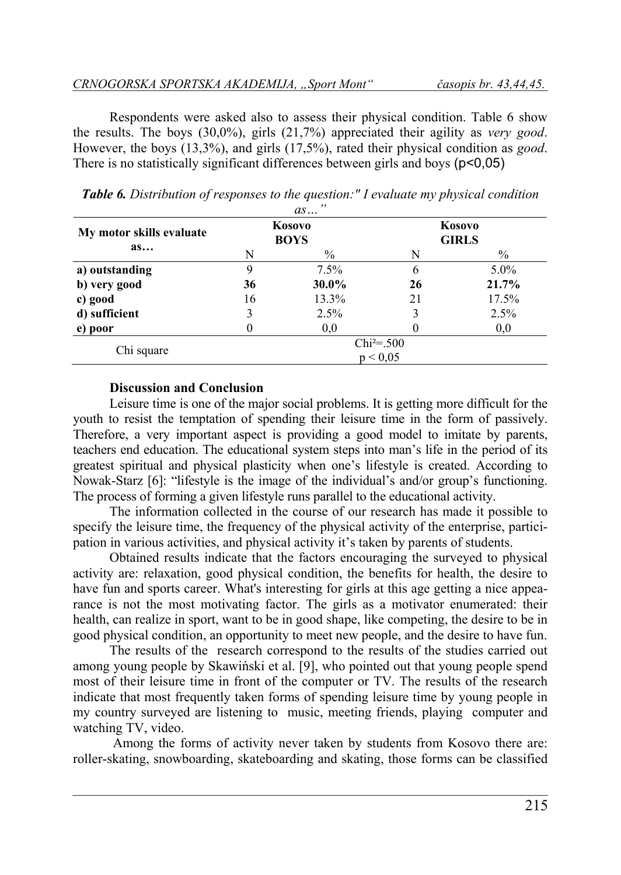Respondents were asked also to assess their physical condition. Table 6 show the results. The boys (30,0%), girls (21,7%) appreciated their agility as *very good*. However, the boys (13,3%), and girls (17,5%), rated their physical condition as *good*. There is no statistically significant differences between girls and boys ( $p<0.05$ )

|                                            |    | , ,<br>as             |                        |         |  |
|--------------------------------------------|----|-----------------------|------------------------|---------|--|
| My motor skills evaluate<br>a <sub>s</sub> |    | Kosovo<br><b>BOYS</b> | Kosovo<br><b>GIRLS</b> |         |  |
|                                            | N  | $\%$                  | N                      | $\%$    |  |
| a) outstanding                             | 9  | $7.5\%$               | 6                      | $5.0\%$ |  |
| b) very good                               | 36 | 30.0%                 | 26                     | 21.7%   |  |
| c) good                                    | 16 | 13.3%                 | 21                     | 17.5%   |  |
| d) sufficient                              | 3  | 2.5%                  | 3                      | 2.5%    |  |
| e) poor                                    |    | 0,0                   |                        | 0,0     |  |
| Chi square                                 |    |                       | $Chi^2 = .500$         |         |  |
|                                            |    |                       | p < 0.05               |         |  |

*Table 6. Distribution of responses to the question:" I evaluate my physical condition* 

#### **Discussion and Conclusion**

Leisure time is one of the major social problems. It is getting more difficult for the youth to resist the temptation of spending their leisure time in the form of passively. Therefore, a very important aspect is providing a good model to imitate by parents, teachers end education. The educational system steps into man's life in the period of its greatest spiritual and physical plasticity when one's lifestyle is created. According to Nowak-Starz [6]: "lifestyle is the image of the individual's and/or group's functioning. The process of forming a given lifestyle runs parallel to the educational activity.

The information collected in the course of our research has made it possible to specify the leisure time, the frequency of the physical activity of the enterprise, participation in various activities, and physical activity it's taken by parents of students.

Obtained results indicate that the factors encouraging the surveyed to physical activity are: relaxation, good physical condition, the benefits for health, the desire to have fun and sports career. What's interesting for girls at this age getting a nice appearance is not the most motivating factor. The girls as a motivator enumerated: their health, can realize in sport, want to be in good shape, like competing, the desire to be in good physical condition, an opportunity to meet new people, and the desire to have fun.

The results of the research correspond to the results of the studies carried out among young people by Skawiński et al. [9], who pointed out that young people spend most of their leisure time in front of the computer or TV. The results of the research indicate that most frequently taken forms of spending leisure time by young people in my country surveyed are listening to music, meeting friends, playing computer and watching TV, video.

 Among the forms of activity never taken by students from Kosovo there are: roller-skating, snowboarding, skateboarding and skating, those forms can be classified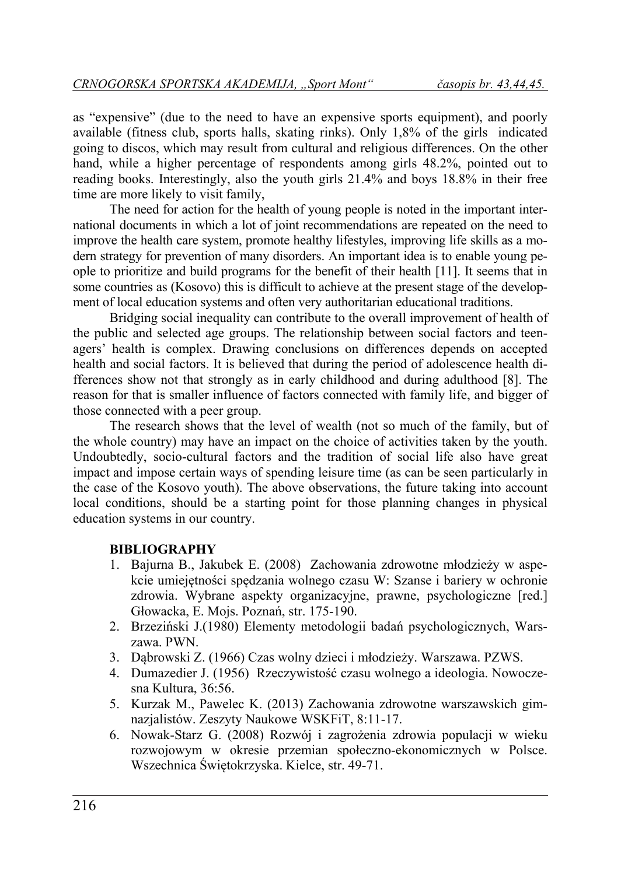as "expensive" (due to the need to have an expensive sports equipment), and poorly available (fitness club, sports halls, skating rinks). Only 1,8% of the girls indicated going to discos, which may result from cultural and religious differences. On the other hand, while a higher percentage of respondents among girls 48.2%, pointed out to reading books. Interestingly, also the youth girls 21.4% and boys 18.8% in their free time are more likely to visit family,

The need for action for the health of young people is noted in the important international documents in which a lot of joint recommendations are repeated on the need to improve the health care system, promote healthy lifestyles, improving life skills as a modern strategy for prevention of many disorders. An important idea is to enable young people to prioritize and build programs for the benefit of their health [11]. It seems that in some countries as (Kosovo) this is difficult to achieve at the present stage of the development of local education systems and often very authoritarian educational traditions.

Bridging social inequality can contribute to the overall improvement of health of the public and selected age groups. The relationship between social factors and teenagers' health is complex. Drawing conclusions on differences depends on accepted health and social factors. It is believed that during the period of adolescence health differences show not that strongly as in early childhood and during adulthood [8]. The reason for that is smaller influence of factors connected with family life, and bigger of those connected with a peer group.

The research shows that the level of wealth (not so much of the family, but of the whole country) may have an impact on the choice of activities taken by the youth. Undoubtedly, socio-cultural factors and the tradition of social life also have great impact and impose certain ways of spending leisure time (as can be seen particularly in the case of the Kosovo youth). The above observations, the future taking into account local conditions, should be a starting point for those planning changes in physical education systems in our country.

## **BIBLIOGRAPHY**

- 1. Bajurna B., Jakubek E. (2008) Zachowania zdrowotne młodzieży w aspekcie umiejętności spędzania wolnego czasu W: Szanse i bariery w ochronie zdrowia. Wybrane aspekty organizacyjne, prawne, psychologiczne [red.] Głowacka, E. Mojs. Poznań, str. 175-190.
- 2. Brzeziński J.(1980) Elementy metodologii badań psychologicznych, Warszawa. PWN.
- 3. Dąbrowski Z. (1966) Czas wolny dzieci i młodzieży. Warszawa. PZWS.
- 4. Dumazedier J. (1956) Rzeczywistość czasu wolnego a ideologia. Nowoczesna Kultura, 36:56.
- 5. Kurzak M., Pawelec K. (2013) Zachowania zdrowotne warszawskich gimnazjalistów. Zeszyty Naukowe WSKFiT, 8:11-17.
- 6. Nowak-Starz G. (2008) Rozwój i zagrożenia zdrowia populacji w wieku rozwojowym w okresie przemian społeczno-ekonomicznych w Polsce. Wszechnica Świętokrzyska. Kielce, str. 49-71.